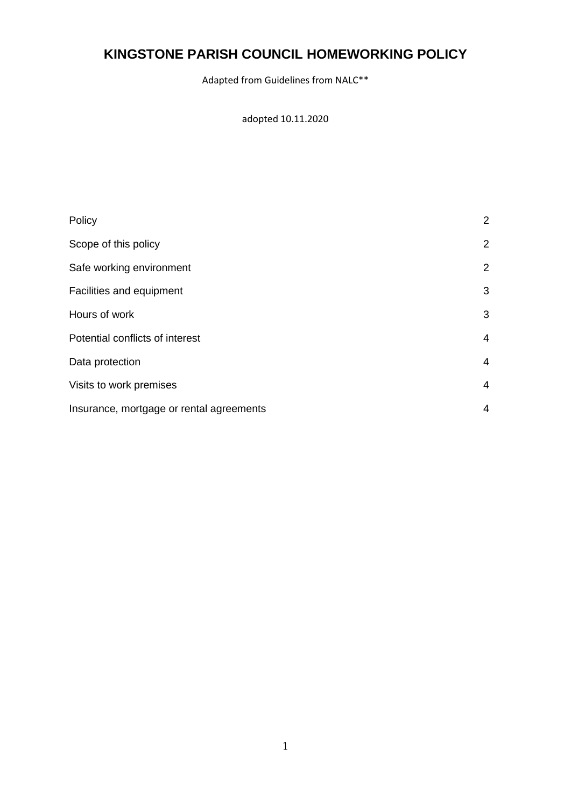# **KINGSTONE PARISH COUNCIL HOMEWORKING POLICY**

Adapted from Guidelines from NALC\*\*

adopted 10.11.2020

| Policy                                   | 2              |
|------------------------------------------|----------------|
| Scope of this policy                     | $\overline{2}$ |
| Safe working environment                 | 2              |
| Facilities and equipment                 | 3              |
| Hours of work                            | 3              |
| Potential conflicts of interest          | 4              |
| Data protection                          | 4              |
| Visits to work premises                  | 4              |
| Insurance, mortgage or rental agreements | 4              |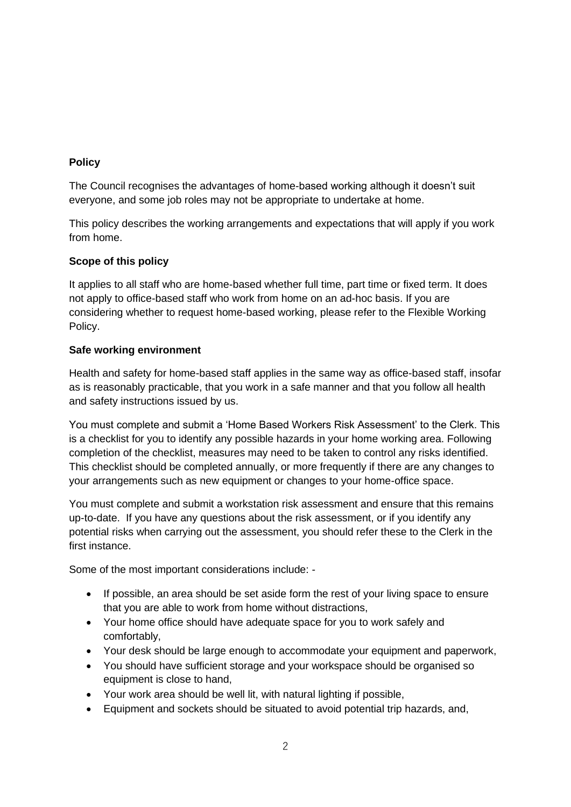# **Policy**

The Council recognises the advantages of home-based working although it doesn't suit everyone, and some job roles may not be appropriate to undertake at home.

This policy describes the working arrangements and expectations that will apply if you work from home.

# **Scope of this policy**

It applies to all staff who are home-based whether full time, part time or fixed term. It does not apply to office-based staff who work from home on an ad-hoc basis. If you are considering whether to request home-based working, please refer to the Flexible Working Policy.

# **Safe working environment**

Health and safety for home-based staff applies in the same way as office-based staff, insofar as is reasonably practicable, that you work in a safe manner and that you follow all health and safety instructions issued by us.

You must complete and submit a 'Home Based Workers Risk Assessment' to the Clerk. This is a checklist for you to identify any possible hazards in your home working area. Following completion of the checklist, measures may need to be taken to control any risks identified. This checklist should be completed annually, or more frequently if there are any changes to your arrangements such as new equipment or changes to your home-office space.

You must complete and submit a workstation risk assessment and ensure that this remains up-to-date. If you have any questions about the risk assessment, or if you identify any potential risks when carrying out the assessment, you should refer these to the Clerk in the first instance.

Some of the most important considerations include: -

- If possible, an area should be set aside form the rest of your living space to ensure that you are able to work from home without distractions,
- Your home office should have adequate space for you to work safely and comfortably,
- Your desk should be large enough to accommodate your equipment and paperwork,
- You should have sufficient storage and your workspace should be organised so equipment is close to hand,
- Your work area should be well lit, with natural lighting if possible,
- Equipment and sockets should be situated to avoid potential trip hazards, and,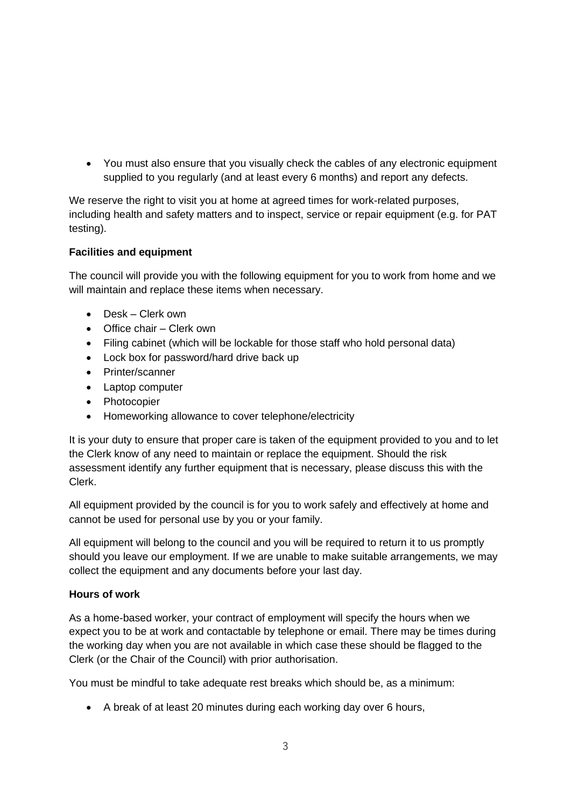• You must also ensure that you visually check the cables of any electronic equipment supplied to you regularly (and at least every 6 months) and report any defects.

We reserve the right to visit you at home at agreed times for work-related purposes, including health and safety matters and to inspect, service or repair equipment (e.g. for PAT testing).

# **Facilities and equipment**

The council will provide you with the following equipment for you to work from home and we will maintain and replace these items when necessary.

- Desk Clerk own
- Office chair Clerk own
- Filing cabinet (which will be lockable for those staff who hold personal data)
- Lock box for password/hard drive back up
- Printer/scanner
- Laptop computer
- Photocopier
- Homeworking allowance to cover telephone/electricity

It is your duty to ensure that proper care is taken of the equipment provided to you and to let the Clerk know of any need to maintain or replace the equipment. Should the risk assessment identify any further equipment that is necessary, please discuss this with the Clerk.

All equipment provided by the council is for you to work safely and effectively at home and cannot be used for personal use by you or your family.

All equipment will belong to the council and you will be required to return it to us promptly should you leave our employment. If we are unable to make suitable arrangements, we may collect the equipment and any documents before your last day.

#### **Hours of work**

As a home-based worker, your contract of employment will specify the hours when we expect you to be at work and contactable by telephone or email. There may be times during the working day when you are not available in which case these should be flagged to the Clerk (or the Chair of the Council) with prior authorisation.

You must be mindful to take adequate rest breaks which should be, as a minimum:

• A break of at least 20 minutes during each working day over 6 hours,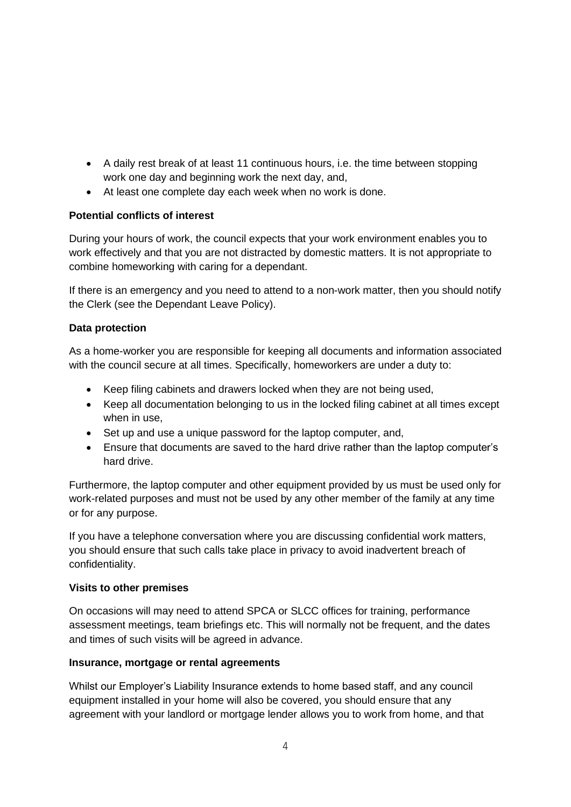- A daily rest break of at least 11 continuous hours, i.e. the time between stopping work one day and beginning work the next day, and,
- At least one complete day each week when no work is done.

# **Potential conflicts of interest**

During your hours of work, the council expects that your work environment enables you to work effectively and that you are not distracted by domestic matters. It is not appropriate to combine homeworking with caring for a dependant.

If there is an emergency and you need to attend to a non-work matter, then you should notify the Clerk (see the Dependant Leave Policy).

# **Data protection**

As a home-worker you are responsible for keeping all documents and information associated with the council secure at all times. Specifically, homeworkers are under a duty to:

- Keep filing cabinets and drawers locked when they are not being used,
- Keep all documentation belonging to us in the locked filing cabinet at all times except when in use,
- Set up and use a unique password for the laptop computer, and,
- Ensure that documents are saved to the hard drive rather than the laptop computer's hard drive.

Furthermore, the laptop computer and other equipment provided by us must be used only for work-related purposes and must not be used by any other member of the family at any time or for any purpose.

If you have a telephone conversation where you are discussing confidential work matters, you should ensure that such calls take place in privacy to avoid inadvertent breach of confidentiality.

# **Visits to other premises**

On occasions will may need to attend SPCA or SLCC offices for training, performance assessment meetings, team briefings etc. This will normally not be frequent, and the dates and times of such visits will be agreed in advance.

# **Insurance, mortgage or rental agreements**

Whilst our Employer's Liability Insurance extends to home based staff, and any council equipment installed in your home will also be covered, you should ensure that any agreement with your landlord or mortgage lender allows you to work from home, and that